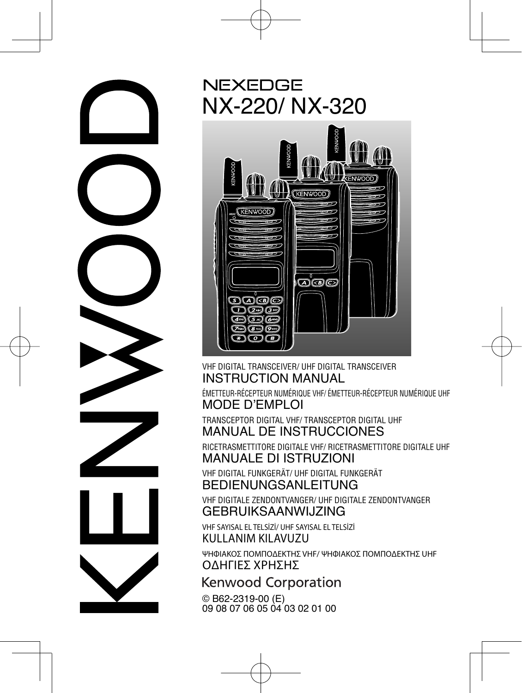

### **NEXEDGE** NX-220/ NX-320



#### VHF DIGITAL TRANSCEIVER/ UHF DIGITAL TRANSCEIVER INSTRUCTION MANUAL

ÉMETTEUR-RÉCEPTEUR NUMÉRIQUE VHF/ ÉMETTEUR-RÉCEPTEUR NUMÉRIQUE UHF MODE D'EMPLOI

TRANSCEPTOR DIGITAL VHF/ TRANSCEPTOR DIGITAL UHF MANUAL DE INSTRUCCIONES

RICETRASMETTITORE DIGITALE VHF/ RICETRASMETTITORE DIGITALE UHF MANUALE DI ISTRUZIONI

VHF DIGITAL FUNKGERÄT/ UHF DIGITAL FUNKGERÄT BEDIENUNGSANLEITUNG

VHF DIGITALE ZENDONTVANGER/ UHF DIGITALE ZENDONTVANGER GEBRUIKSAANWIJZING

VHF SAYISAL EL TELSİZİ/ UHF SAYISAL EL TELSİZİ KULLANIM KILAVUZU

ΨΗΦΙΑΚΟΣ ΠΟΜΠΟΔΕΚΤΗΣ VHF/ ΨΗΦΙΑΚΟΣ ΠΟΜΠΟΔΕΚΤΗΣ UHF ΟΔΗΓΙΕΣ ΧΡΗΣΗΣ

Kenwood Corporation

© B62-2319-00 (E) 09 08 07 06 05 04 03 02 01 00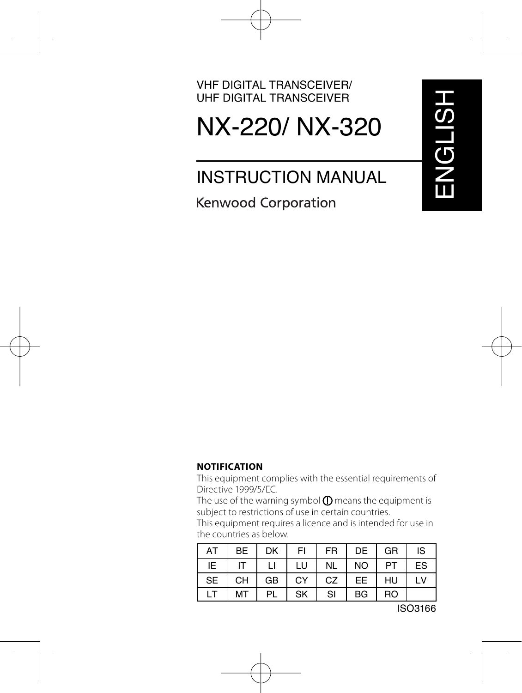# NX-220/ NX-320

### INSTRUCTION MANUAL

**Kenwood Corporation** 

#### **NOTIFICATION**

This equipment complies with the essential requirements of Directive 1999/5/EC.

The use of the warning symbol  $\mathbf 0$  means the equipment is subject to restrictions of use in certain countries.

This equipment requires a licence and is intended for use in the countries as below.

| AT        | <b>BE</b> | DK | FI | <b>FR</b> | DE             | GR             | IS |
|-----------|-----------|----|----|-----------|----------------|----------------|----|
| IE        | IT        | П  | LU | <b>NL</b> | N <sub>O</sub> | PT             | ES |
| <b>SE</b> | <b>CH</b> | GB | CY | CZ        | EE.            | HU             | LV |
|           | МT        | PL | SK | SI        | <b>BG</b>      | R <sub>O</sub> |    |

ISO3166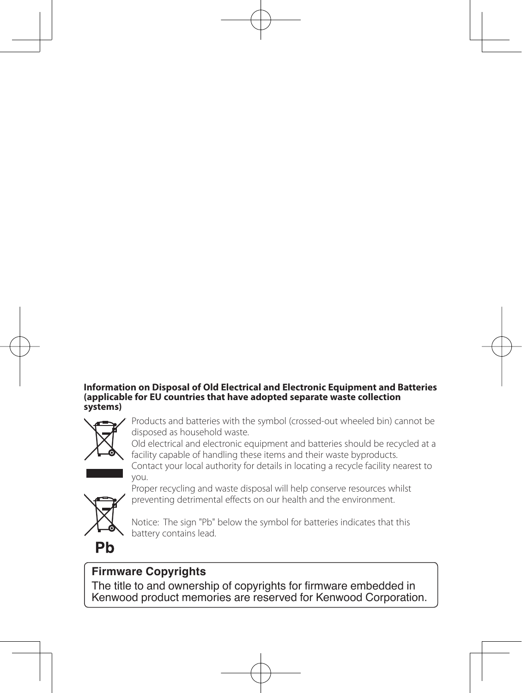#### **Information on Disposal of Old Electrical and Electronic Equipment and Batteries (applicable for EU countries that have adopted separate waste collection systems)**



Products and batteries with the symbol (crossed-out wheeled bin) cannot be disposed as household waste.

Old electrical and electronic equipment and batteries should be recycled at a facility capable of handling these items and their waste byproducts.

Contact your local authority for details in locating a recycle facility nearest to you.



Proper recycling and waste disposal will help conserve resources whilst preventing detrimental effects on our health and the environment.

Notice: The sign "Pb" below the symbol for batteries indicates that this battery contains lead.

### Ph

#### **Firmware Copyrights**

The title to and ownership of copyrights for firmware embedded in Kenwood product memories are reserved for Kenwood Corporation.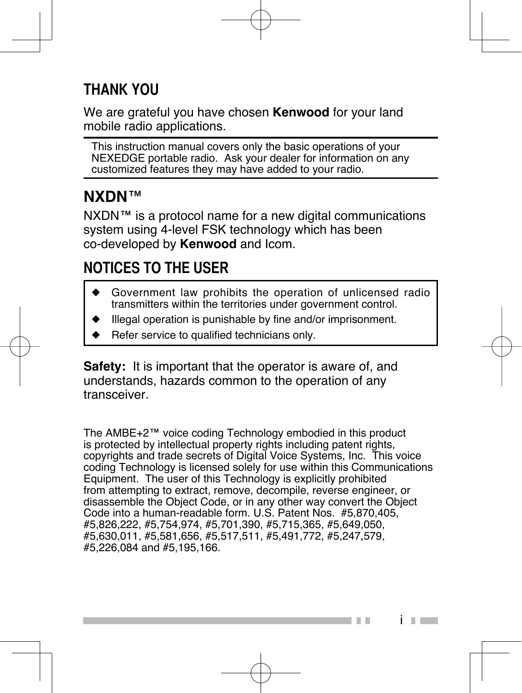### **THANK YOU**

We are grateful you have chosen **Kenwood** for your land mobile radio applications.

This instruction manual covers only the basic operations of your NEXEDGE portable radio. Ask your dealer for information on any customized features they may have added to your radio.

#### **NXDN**™

NXDN™ is a protocol name for a new digital communications system using 4-level FSK technology which has been co-developed by **Kenwood** and Icom.

### **NOTICES TO THE USER**

- Government law prohibits the operation of unlicensed radio transmitters within the territories under government control.
- Illegal operation is punishable by fine and/or imprisonment.
- Refer service to qualified technicians only.

**Safety:** It is important that the operator is aware of, and understands, hazards common to the operation of any transceiver.

The AMBE+2™ voice coding Technology embodied in this product is protected by intellectual property rights including patent rights, copyrights and trade secrets of Digital Voice Systems, Inc. This voice coding Technology is licensed solely for use within this Communications Equipment. The user of this Technology is explicitly prohibited from attempting to extract, remove, decompile, reverse engineer, or disassemble the Object Code, or in any other way convert the Object Code into a human-readable form. U.S. Patent Nos. #5,870,405, #5,826,222, #5,754,974, #5,701,390, #5,715,365, #5,649,050, #5,630,011, #5,581,656, #5,517,511, #5,491,772, #5,247,579, #5,226,084 and #5,195,166.

i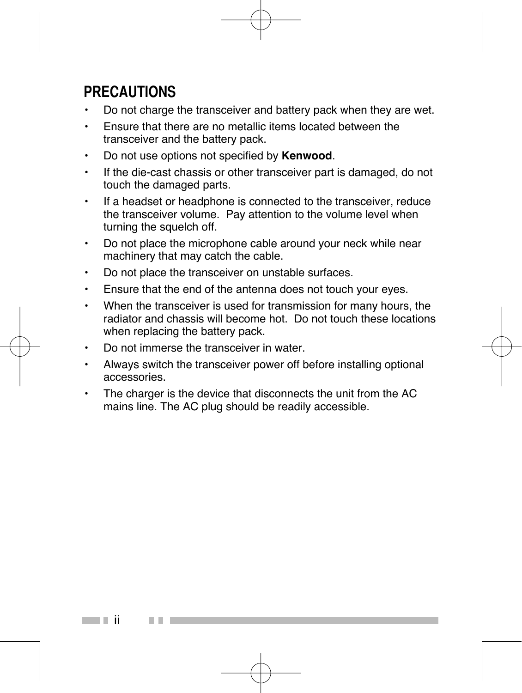### **PRECAUTIONS**

- Do not charge the transceiver and battery pack when they are wet.
- Ensure that there are no metallic items located between the transceiver and the battery pack.
- Do not use options not specified by **Kenwood**.
- If the die-cast chassis or other transceiver part is damaged, do not touch the damaged parts.
- If a headset or headphone is connected to the transceiver, reduce the transceiver volume. Pay attention to the volume level when turning the squelch off.
- Do not place the microphone cable around your neck while near machinery that may catch the cable.
- Do not place the transceiver on unstable surfaces.
- Ensure that the end of the antenna does not touch your eyes.
- When the transceiver is used for transmission for many hours, the radiator and chassis will become hot. Do not touch these locations when replacing the battery pack.
- Do not immerse the transceiver in water.
- Always switch the transceiver power off before installing optional accessories.
- The charger is the device that disconnects the unit from the AC mains line. The AC plug should be readily accessible.

ii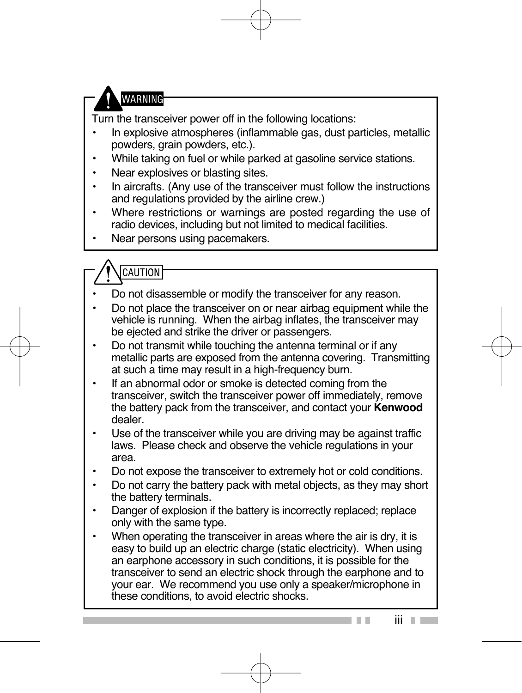**WARNING** 

Turn the transceiver power off in the following locations:

- In explosive atmospheres (inflammable gas, dust particles, metallic powders, grain powders, etc.).
- While taking on fuel or while parked at gasoline service stations.
- Near explosives or blasting sites.
- In aircrafts. (Any use of the transceiver must follow the instructions and regulations provided by the airline crew.)
- Where restrictions or warnings are posted regarding the use of radio devices, including but not limited to medical facilities.
- Near persons using pacemakers.
- CAUTION
- Do not disassemble or modify the transceiver for any reason.
- Do not place the transceiver on or near airbag equipment while the vehicle is running. When the airbag inflates, the transceiver may be ejected and strike the driver or passengers.
- Do not transmit while touching the antenna terminal or if any metallic parts are exposed from the antenna covering. Transmitting at such a time may result in a high-frequency burn.
- If an abnormal odor or smoke is detected coming from the transceiver, switch the transceiver power off immediately, remove the battery pack from the transceiver, and contact your **Kenwood**  dealer.
- Use of the transceiver while you are driving may be against traffic laws. Please check and observe the vehicle regulations in your area.
- Do not expose the transceiver to extremely hot or cold conditions.
- Do not carry the battery pack with metal objects, as they may short the battery terminals.
- Danger of explosion if the battery is incorrectly replaced; replace only with the same type.
- When operating the transceiver in areas where the air is dry, it is easy to build up an electric charge (static electricity). When using an earphone accessory in such conditions, it is possible for the transceiver to send an electric shock through the earphone and to your ear. We recommend you use only a speaker/microphone in these conditions, to avoid electric shocks.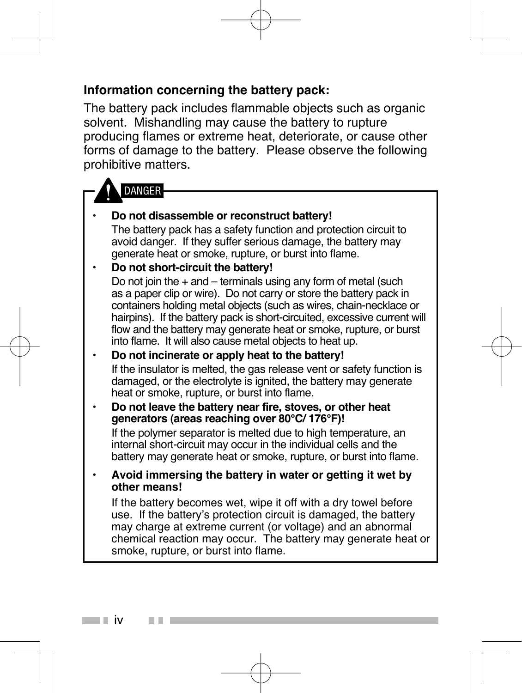#### **Information concerning the battery pack:**

The battery pack includes flammable objects such as organic solvent. Mishandling may cause the battery to rupture producing flames or extreme heat, deteriorate, or cause other forms of damage to the battery. Please observe the following prohibitive matters.

#### **DANGFR**

#### • **Do not disassemble or reconstruct battery!**

 The battery pack has a safety function and protection circuit to avoid danger. If they suffer serious damage, the battery may generate heat or smoke, rupture, or burst into flame.

#### • **Do not short-circuit the battery!**

Do not join the  $+$  and  $-$  terminals using any form of metal (such as a paper clip or wire). Do not carry or store the battery pack in containers holding metal objects (such as wires, chain-necklace or hairpins). If the battery pack is short-circuited, excessive current will flow and the battery may generate heat or smoke, rupture, or burst into flame. It will also cause metal objects to heat up.

#### • **Do not incinerate or apply heat to the battery!** If the insulator is melted, the gas release vent or safety function is damaged, or the electrolyte is ignited, the battery may generate heat or smoke, rupture, or burst into flame.

#### • **Do not leave the battery near fire, stoves, or other heat generators (areas reaching over 80°C/ 176°F)!**

 If the polymer separator is melted due to high temperature, an internal short-circuit may occur in the individual cells and the battery may generate heat or smoke, rupture, or burst into flame.

#### • **Avoid immersing the battery in water or getting it wet by other means!**

 If the battery becomes wet, wipe it off with a dry towel before use. If the battery's protection circuit is damaged, the battery may charge at extreme current (or voltage) and an abnormal chemical reaction may occur. The battery may generate heat or smoke, rupture, or burst into flame.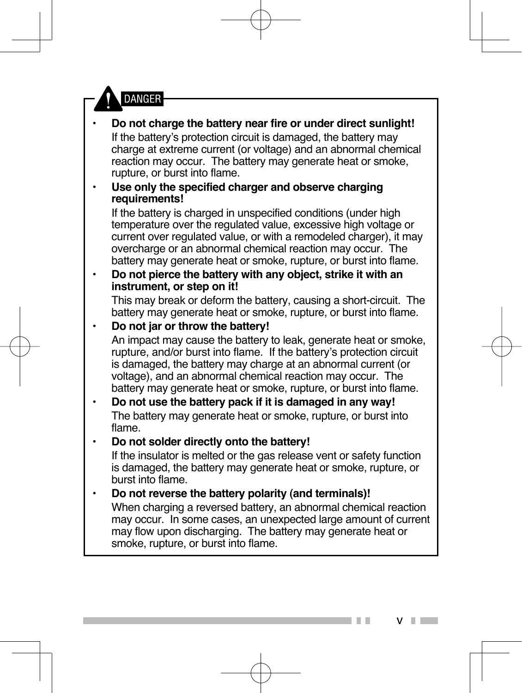

• **Do not charge the battery near fire or under direct sunlight!** If the battery's protection circuit is damaged, the battery may charge at extreme current (or voltage) and an abnormal chemical reaction may occur. The battery may generate heat or smoke, rupture, or burst into flame. • **Use only the specified charger and observe charging requirements!** If the battery is charged in unspecified conditions (under high

temperature over the regulated value, excessive high voltage or current over regulated value, or with a remodeled charger), it may overcharge or an abnormal chemical reaction may occur. The battery may generate heat or smoke, rupture, or burst into flame.

#### • **Do not pierce the battery with any object, strike it with an instrument, or step on it!**

 This may break or deform the battery, causing a short-circuit. The battery may generate heat or smoke, rupture, or burst into flame.

- **Do not jar or throw the battery!** An impact may cause the battery to leak, generate heat or smoke, rupture, and/or burst into flame. If the battery's protection circuit is damaged, the battery may charge at an abnormal current (or voltage), and an abnormal chemical reaction may occur. The battery may generate heat or smoke, rupture, or burst into flame.
- **Do not use the battery pack if it is damaged in any way!** The battery may generate heat or smoke, rupture, or burst into flame.

#### • **Do not solder directly onto the battery!**

 If the insulator is melted or the gas release vent or safety function is damaged, the battery may generate heat or smoke, rupture, or burst into flame.

#### • **Do not reverse the battery polarity (and terminals)!**

 When charging a reversed battery, an abnormal chemical reaction may occur. In some cases, an unexpected large amount of current may flow upon discharging. The battery may generate heat or smoke, rupture, or burst into flame.

v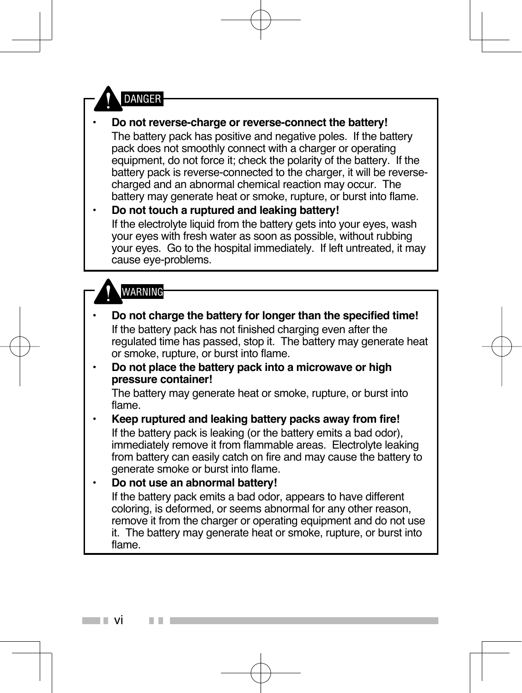

- **Do not reverse-charge or reverse-connect the battery!** The battery pack has positive and negative poles. If the battery pack does not smoothly connect with a charger or operating equipment, do not force it; check the polarity of the battery. If the battery pack is reverse-connected to the charger, it will be reversecharged and an abnormal chemical reaction may occur. The battery may generate heat or smoke, rupture, or burst into flame.
- **Do not touch a ruptured and leaking battery!** If the electrolyte liquid from the battery gets into your eyes, wash your eyes with fresh water as soon as possible, without rubbing your eyes. Go to the hospital immediately. If left untreated, it may cause eye-problems.

#### **WARNING**

• **Do not charge the battery for longer than the specified time!** If the battery pack has not finished charging even after the regulated time has passed, stop it. The battery may generate heat or smoke, rupture, or burst into flame. • **Do not place the battery pack into a microwave or high pressure container!** The battery may generate heat or smoke, rupture, or burst into flame. • **Keep ruptured and leaking battery packs away from fire!** If the battery pack is leaking (or the battery emits a bad odor), immediately remove it from flammable areas. Electrolyte leaking from battery can easily catch on fire and may cause the battery to generate smoke or burst into flame. • **Do not use an abnormal battery!** If the battery pack emits a bad odor, appears to have different coloring, is deformed, or seems abnormal for any other reason, remove it from the charger or operating equipment and do not use it. The battery may generate heat or smoke, rupture, or burst into flame.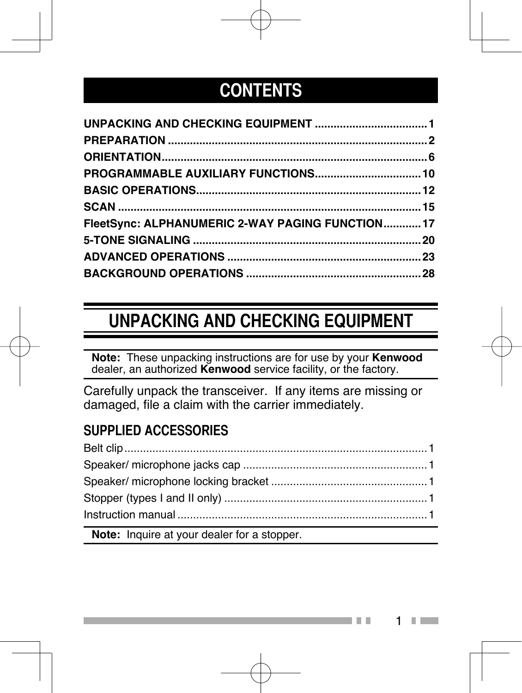### **CONTENTS**

| FleetSync: ALPHANUMERIC 2-WAY PAGING FUNCTION17 |  |
|-------------------------------------------------|--|
|                                                 |  |
|                                                 |  |
|                                                 |  |

## **UNPACKING AND CHECKING EQUIPMENT**

**Note:** These unpacking instructions are for use by your **Kenwood** dealer, an authorized **Kenwood** service facility, or the factory.

Carefully unpack the transceiver. If any items are missing or damaged, file a claim with the carrier immediately.

#### **SUPPLIED ACCESSORIES**

| a sa kacamatan ing Kabupatèn Kabupatèn Kabupatèn Kabupatèn Kabupatèn Kabupatèn Kabupatèn Kabupatèn Kabupatèn K |  |
|----------------------------------------------------------------------------------------------------------------|--|

**Note:** Inquire at your dealer for a stopper.

1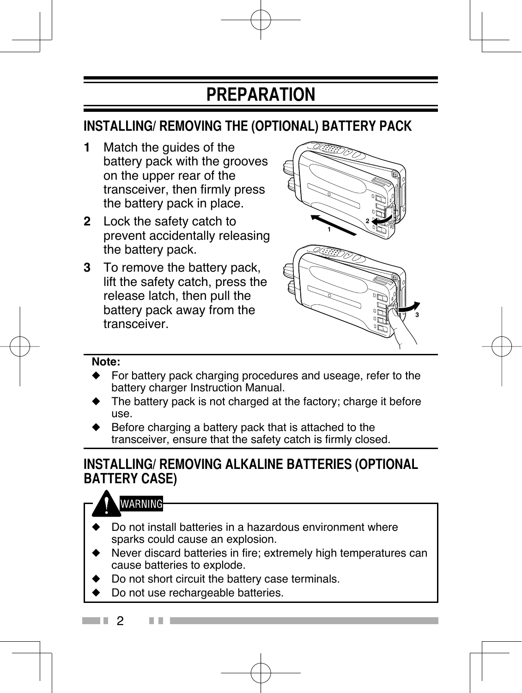### **PREPARATION**

#### **INSTALLING/ REMOVING THE (OPTIONAL) BATTERY PACK**

- **1** Match the guides of the battery pack with the grooves on the upper rear of the transceiver, then firmly press the battery pack in place.
- **2** Lock the safety catch to prevent accidentally releasing the battery pack.
- **3** To remove the battery pack, lift the safety catch, press the release latch, then pull the battery pack away from the transceiver.



#### **Note:**

- For battery pack charging procedures and useage, refer to the battery charger Instruction Manual.
- The battery pack is not charged at the factory; charge it before use.
- Before charging a battery pack that is attached to the transceiver, ensure that the safety catch is firmly closed.

#### **INSTALLING/ REMOVING ALKALINE BATTERIES (OPTIONAL BATTERY CASE)**

#### **WARNING**

- Do not install batteries in a hazardous environment where sparks could cause an explosion.
- Never discard batteries in fire; extremely high temperatures can cause batteries to explode.
- Do not short circuit the battery case terminals.
- Do not use rechargeable batteries.
- . . 2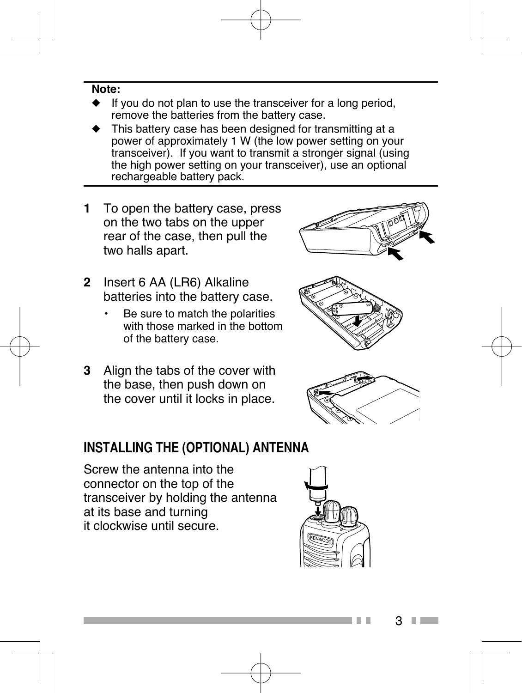#### **Note:**

- If you do not plan to use the transceiver for a long period. remove the batteries from the battery case.
- This battery case has been designed for transmitting at a power of approximately 1 W (the low power setting on your transceiver). If you want to transmit a stronger signal (using the high power setting on your transceiver), use an optional rechargeable battery pack.
- **1** To open the battery case, press on the two tabs on the upper rear of the case, then pull the two halls apart.
- **2** Insert 6 AA (LR6) Alkaline batteries into the battery case.
	- Be sure to match the polarities with those marked in the bottom of the battery case.
- **3** Align the tabs of the cover with the base, then push down on the cover until it locks in place.

#### **INSTALLING THE (OPTIONAL) ANTENNA**

Screw the antenna into the connector on the top of the transceiver by holding the antenna at its base and turning it clockwise until secure.







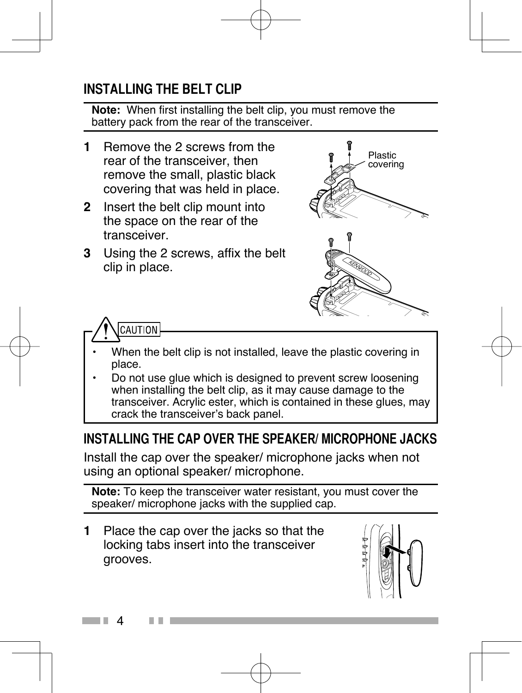#### **INSTALLING THE BELT CLIP**

**Note:** When first installing the belt clip, you must remove the battery pack from the rear of the transceiver.

- **1** Remove the 2 screws from the rear of the transceiver, then remove the small, plastic black covering that was held in place.
- **2** Insert the belt clip mount into the space on the rear of the transceiver.
- **3** Using the 2 screws, affix the belt clip in place.





- When the belt clip is not installed, leave the plastic covering in place.
- Do not use glue which is designed to prevent screw loosening when installing the belt clip, as it may cause damage to the transceiver. Acrylic ester, which is contained in these glues, may crack the transceiver's back panel.

#### **INSTALLING THE CAP OVER THE SPEAKER/ MICROPHONE JACKS**

Install the cap over the speaker/ microphone jacks when not using an optional speaker/ microphone.

**Note:** To keep the transceiver water resistant, you must cover the speaker/ microphone jacks with the supplied cap.

**1** Place the cap over the jacks so that the locking tabs insert into the transceiver grooves.

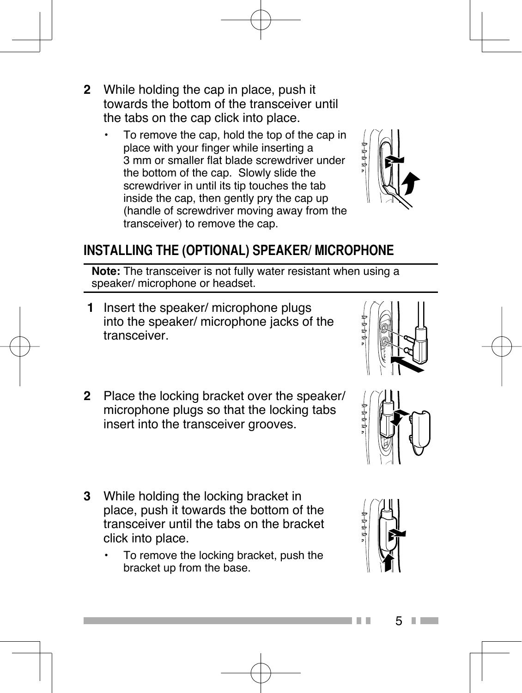- **2** While holding the cap in place, push it towards the bottom of the transceiver until the tabs on the cap click into place.
	- To remove the cap, hold the top of the cap in place with your finger while inserting a 3 mm or smaller flat blade screwdriver under the bottom of the cap. Slowly slide the screwdriver in until its tip touches the tab inside the cap, then gently pry the cap up (handle of screwdriver moving away from the transceiver) to remove the cap.



#### **INSTALLING THE (OPTIONAL) SPEAKER/ MICROPHONE**

**Note:** The transceiver is not fully water resistant when using a speaker/ microphone or headset.

- **1** Insert the speaker/ microphone plugs into the speaker/ microphone jacks of the transceiver.
- **2** Place the locking bracket over the speaker/ microphone plugs so that the locking tabs insert into the transceiver grooves.
- **3** While holding the locking bracket in place, push it towards the bottom of the transceiver until the tabs on the bracket click into place.
	- To remove the locking bracket, push the bracket up from the base.







5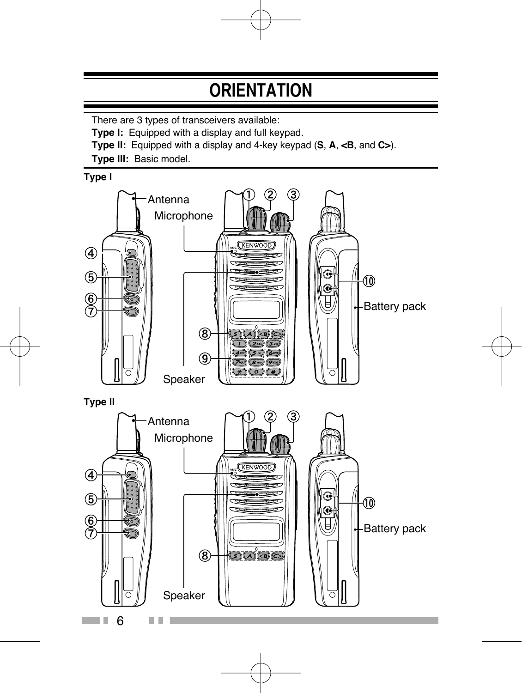### **ORIENTATION**

There are 3 types of transceivers available:

**Type I:** Equipped with a display and full keypad.

**Type II:** Equipped with a display and 4-key keypad (**S**, **A**, **<B**, and **C>**).

**Type III:** Basic model.

**Type I**

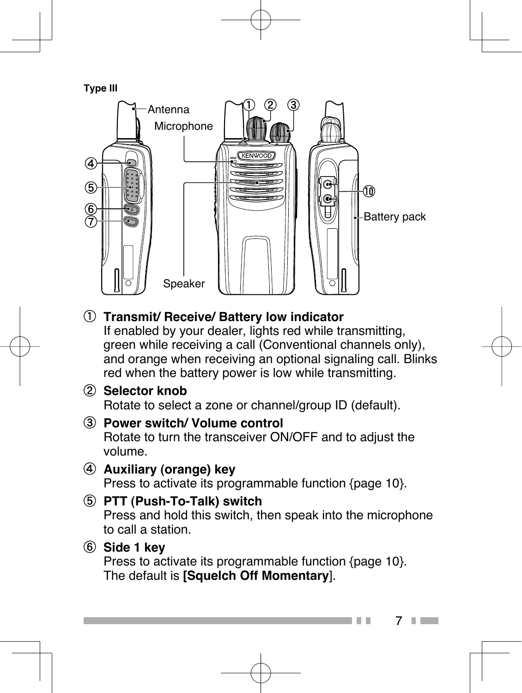**Type III**



#### **Transmit/ Receive/ Battery low indicator**

If enabled by your dealer, lights red while transmitting, green while receiving a call (Conventional channels only), and orange when receiving an optional signaling call. Blinks red when the battery power is low while transmitting.

- **Selector knob** Rotate to select a zone or channel/group ID (default).
- **Power switch/ Volume control** Rotate to turn the transceiver ON/OFF and to adjust the volume.
- **Auxiliary (orange) key** Press to activate its programmable function {page 10}.
- **PTT (Push-To-Talk) switch** Press and hold this switch, then speak into the microphone to call a station.

#### **Side 1 key**

Press to activate its programmable function {page 10}. The default is **[Squelch Off Momentary**].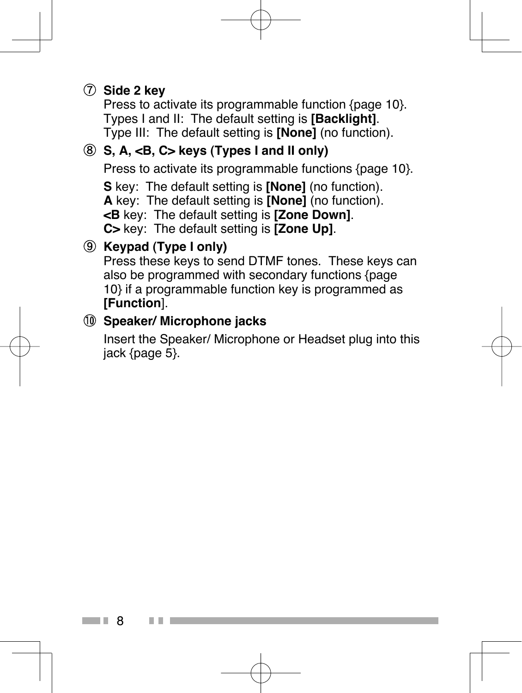#### **Side 2 key**

Press to activate its programmable function {page 10}. Types I and II: The default setting is **[Backlight]**. Type III: The default setting is **[None]** (no function).

#### **S, A, <B, C> keys (Types I and II only)**

Press to activate its programmable functions {page 10}.

**S** key: The default setting is **[None]** (no function).

**A** key: The default setting is **[None]** (no function).

**<B** key: The default setting is **[Zone Down]**.

**C>** key: The default setting is **[Zone Up]**.

#### **Keypad (Type I only)**

8

Press these keys to send DTMF tones. These keys can also be programmed with secondary functions {page 10} if a programmable function key is programmed as **[Function**].

#### **Speaker/ Microphone jacks**

 Insert the Speaker/ Microphone or Headset plug into this jack {page 5}.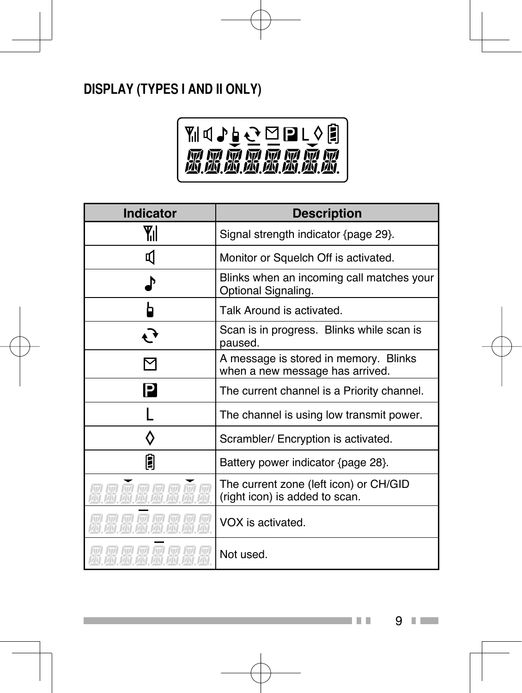#### **DISPLAY (TYPES I AND II ONLY)**



| <b>Indicator</b>                                                 | <b>Description</b>                                                       |  |  |
|------------------------------------------------------------------|--------------------------------------------------------------------------|--|--|
| Yıl                                                              | Signal strength indicator {page 29}.                                     |  |  |
| П                                                                | Monitor or Squelch Off is activated.                                     |  |  |
| Þ                                                                | Blinks when an incoming call matches your<br>Optional Signaling.         |  |  |
|                                                                  | Talk Around is activated.                                                |  |  |
| $\epsilon$                                                       | Scan is in progress. Blinks while scan is<br>paused.                     |  |  |
| ⊠                                                                | A message is stored in memory. Blinks<br>when a new message has arrived. |  |  |
| P                                                                | The current channel is a Priority channel.                               |  |  |
|                                                                  | The channel is using low transmit power.                                 |  |  |
|                                                                  | Scrambler/ Encryption is activated.                                      |  |  |
| 0                                                                | Battery power indicator {page 28}.                                       |  |  |
| ידו וקיו וקיו וקיו וקיו וקיו וקיו<br>זאז האז האז האז האז האז האז | The current zone (left icon) or CH/GID<br>(right icon) is added to scan. |  |  |
|                                                                  | VOX is activated.                                                        |  |  |
|                                                                  | Not used.                                                                |  |  |

9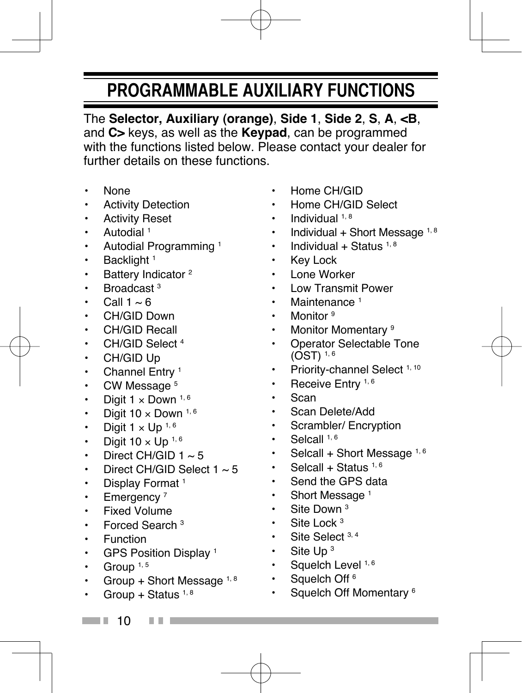### **PROGRAMMABLE AUXILIARY FUNCTIONS**

The **Selector, Auxiliary (orange)**, **Side 1**, **Side 2**, **S**, **A**, **<B**, and **C>** keys, as well as the **Keypad**, can be programmed with the functions listed below. Please contact your dealer for further details on these functions.

- None
- Activity Detection
- Activity Reset
- Autodial 1
- Autodial Programming 1
- $\cdot$  Backlight<sup>1</sup>
- Battery Indicator<sup>2</sup>
- Broadcast<sup>3</sup>
- Call  $1 \approx 6$
- CH/GID Down
- CH/GID Recall
- CH/GID Select 4
- CH/GID Up
- $\cdot$  Channel Entry<sup>1</sup>
- CW Message<sup>5</sup>
- Digit  $1 \times$  Down  $1, 6$
- Digit  $10 \times$  Down  $^{1, 6}$
- Digit  $1 \times$  Up  $1, 6$
- Digit  $10 \times$  Up  $^{1,6}$
- Direct CH/GID  $1 \approx 5$
- Direct CH/GID Select  $1 \approx 5$
- Display Format<sup>1</sup>
- $\cdot$  Emergency<sup>7</sup>
- Fixed Volume
- Forced Search 3
- Function
- GPS Position Display 1
- Group  $1, 5$
- Group + Short Message  $1, 8$
- Group + Status  $1, 8$
- Home CH/GID
- Home CH/GID Select
- $\cdot$  Individual  $1, 8$
- Individual + Short Message  $1, 8$
- Individual + Status  $1, 8$
- Key Lock
- Lone Worker
- Low Transmit Power
- Maintenance<sup>1</sup>
- Monitor<sup>9</sup>
- Monitor Momentary<sup>9</sup>
- Operator Selectable Tone  $(OST)$ <sup>1, 6</sup>
- Priority-channel Select 1, 10
- $\cdot$  Receive Entry 1, 6
- Scan
- Scan Delete/Add
- Scrambler/ Encryption
- $\cdot$  Selcall  $1, 6$
- Selcall + Short Message  $1,6$
- Selcall + Status  $1,6$
- Send the GPS data
- Short Message<sup>1</sup>
- Site Down<sup>3</sup>
- $\cdot$  Site Lock<sup>3</sup>
- $\cdot$  Site Select  $3, 4$
- $\cdot$  Site Up<sup>3</sup>
- $\cdot$  Squelch Level<sup>1,6</sup>
- Squelch Off<sup>6</sup>
- Squelch Off Momentary <sup>6</sup>

- $\Box$  10
	-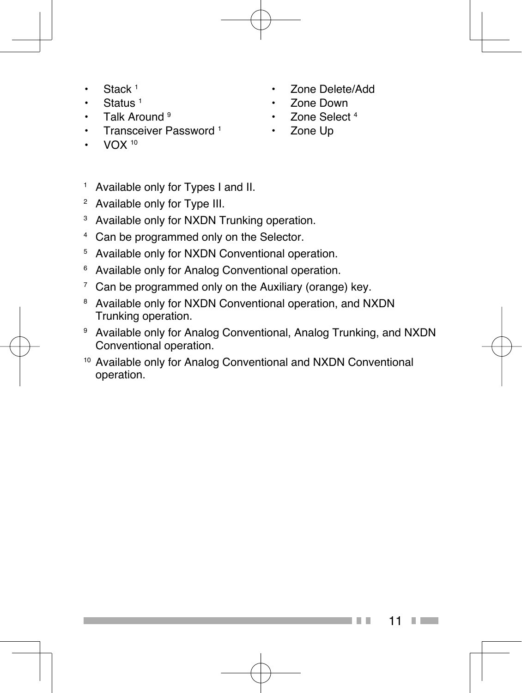- Stack<sup>1</sup>
- Status 1
- Talk Around  $9$
- Transceiver Password<sup>1</sup>
- VOX 10
- Zone Delete/Add
- Zone Down
- Zone Select<sup>4</sup>
- Zone Up
- 1 Available only for Types I and II.
- 2 Available only for Type III.
- 3 Available only for NXDN Trunking operation.
- 4 Can be programmed only on the Selector.
- 5 Available only for NXDN Conventional operation.
- 6 Available only for Analog Conventional operation.
- 7 Can be programmed only on the Auxiliary (orange) key.
- 8 Available only for NXDN Conventional operation, and NXDN Trunking operation.
- 9 Available only for Analog Conventional, Analog Trunking, and NXDN Conventional operation.
- 10 Available only for Analog Conventional and NXDN Conventional operation.

11 **Contract Contract**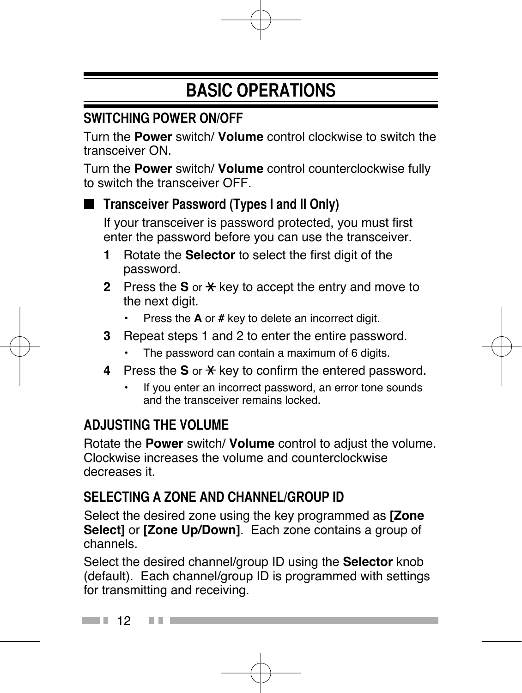## **BASIC OPERATIONS**

#### **SWITCHING POWER ON/OFF**

Turn the **Power** switch/ **Volume** control clockwise to switch the transceiver ON.

Turn the **Power** switch/ **Volume** control counterclockwise fully to switch the transceiver OFF.

#### ■ **Transceiver Password (Types I and II Only)**

 If your transceiver is password protected, you must first enter the password before you can use the transceiver.

- **1** Rotate the **Selector** to select the first digit of the password.
- **2** Press the **S** or  $\star$  key to accept the entry and move to the next digit.
	- Press the **A** or **#** key to delete an incorrect digit.
- **3** Repeat steps 1 and 2 to enter the entire password.
	- The password can contain a maximum of 6 digits.
- **4** Press the **S** or  $\star$  key to confirm the entered password.
	- If you enter an incorrect password, an error tone sounds and the transceiver remains locked.

#### **ADJUSTING THE VOLUME**

Rotate the **Power** switch/ **Volume** control to adjust the volume. Clockwise increases the volume and counterclockwise decreases it.

#### **SELECTING A ZONE AND CHANNEL/GROUP ID**

 Select the desired zone using the key programmed as **[Zone Select]** or **[Zone Up/Down]**. Each zone contains a group of channels.

Select the desired channel/group ID using the **Selector** knob (default). Each channel/group ID is programmed with settings for transmitting and receiving.

 $\blacksquare$  12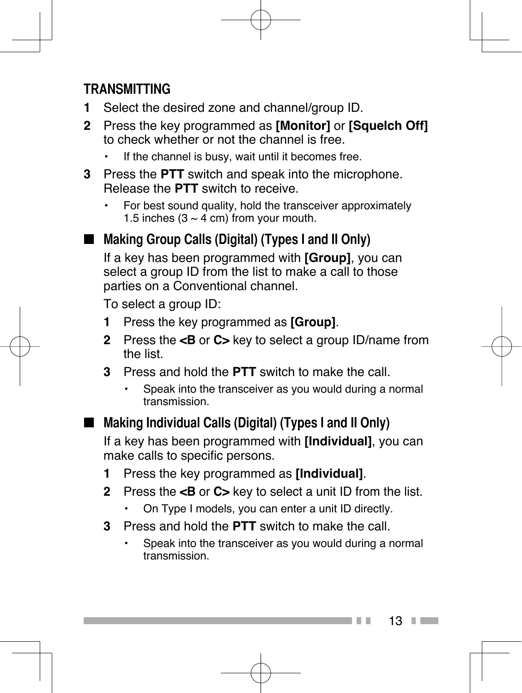#### **TRANSMITTING**

- **1** Select the desired zone and channel/group ID.
- **2** Press the key programmed as **[Monitor]** or **[Squelch Off]** to check whether or not the channel is free.
	- If the channel is busy, wait until it becomes free.
- **3** Press the **PTT** switch and speak into the microphone. Release the **PTT** switch to receive.
	- For best sound quality, hold the transceiver approximately 1.5 inches  $(3 \sim 4 \text{ cm})$  from your mouth.
- Making Group Calls (Digital) (Types I and II Only)

 If a key has been programmed with **[Group]**, you can select a group ID from the list to make a call to those parties on a Conventional channel.

To select a group ID:

- **1** Press the key programmed as **[Group]**.
- **2** Press the **<B** or **C>** key to select a group ID/name from the list.
- **3** Press and hold the **PTT** switch to make the call.
	- Speak into the transceiver as you would during a normal transmission.
- Making Individual Calls (Digital) (Types I and II Only)

 If a key has been programmed with **[Individual]**, you can make calls to specific persons.

- **1** Press the key programmed as **[Individual]**.
- **2** Press the **<B** or **C>** key to select a unit ID from the list.
	- On Type I models, you can enter a unit ID directly.
- **3** Press and hold the **PTT** switch to make the call.
	- Speak into the transceiver as you would during a normal transmission.

 $13 \square$ 

. .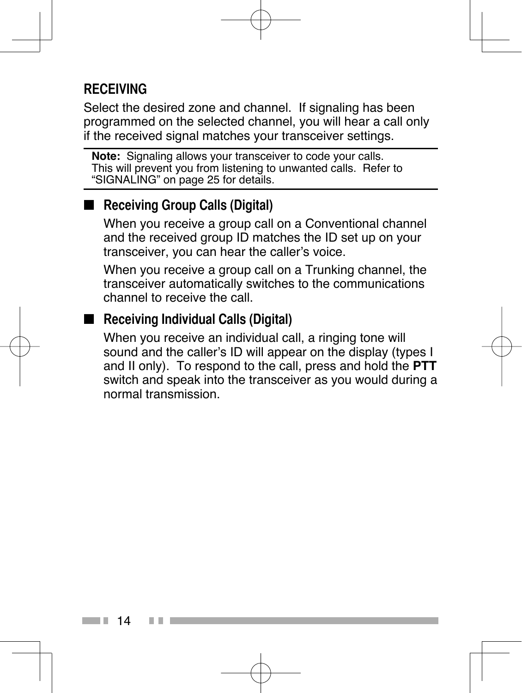#### **RECEIVING**

Select the desired zone and channel. If signaling has been programmed on the selected channel, you will hear a call only if the received signal matches your transceiver settings.

**Note:** Signaling allows your transceiver to code your calls. This will prevent you from listening to unwanted calls. Refer to "SIGNALING" on page 25 for details.

#### ■ **Receiving Group Calls (Digital)**

 When you receive a group call on a Conventional channel and the received group ID matches the ID set up on your transceiver, you can hear the caller's voice.

 When you receive a group call on a Trunking channel, the transceiver automatically switches to the communications channel to receive the call.

#### ■ **Receiving Individual Calls (Digital)**

 When you receive an individual call, a ringing tone will sound and the caller's ID will appear on the display (types I and II only). To respond to the call, press and hold the **PTT** switch and speak into the transceiver as you would during a normal transmission.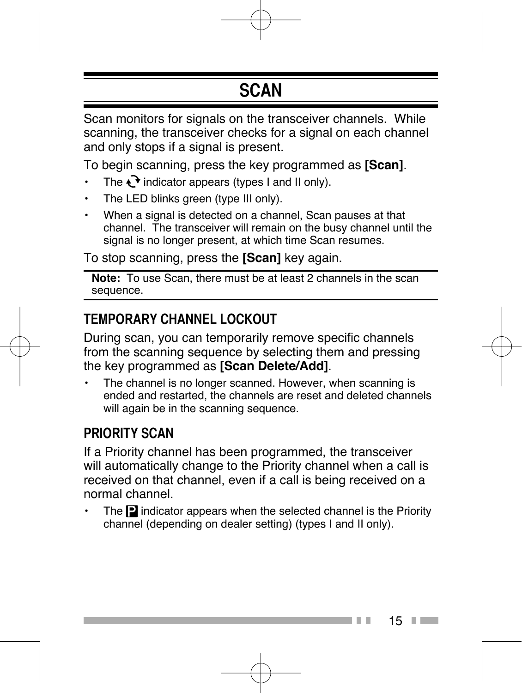### **SCAN**

Scan monitors for signals on the transceiver channels. While scanning, the transceiver checks for a signal on each channel and only stops if a signal is present.

To begin scanning, press the key programmed as **[Scan]**.

- The  $\mathbf{\cdot}$  indicator appears (types I and II only).
- The LED blinks green (type III only).
- When a signal is detected on a channel, Scan pauses at that channel. The transceiver will remain on the busy channel until the signal is no longer present, at which time Scan resumes.

To stop scanning, press the **[Scan]** key again.

**Note:** To use Scan, there must be at least 2 channels in the scan sequence.

#### **TEMPORARY CHANNEL LOCKOUT**

During scan, you can temporarily remove specific channels from the scanning sequence by selecting them and pressing the key programmed as **[Scan Delete/Add]**.

The channel is no longer scanned. However, when scanning is ended and restarted, the channels are reset and deleted channels will again be in the scanning sequence.

#### **PRIORITY SCAN**

If a Priority channel has been programmed, the transceiver will automatically change to the Priority channel when a call is received on that channel, even if a call is being received on a normal channel.

The  $\blacksquare$  indicator appears when the selected channel is the Priority channel (depending on dealer setting) (types I and II only).

 $15$   $\Box$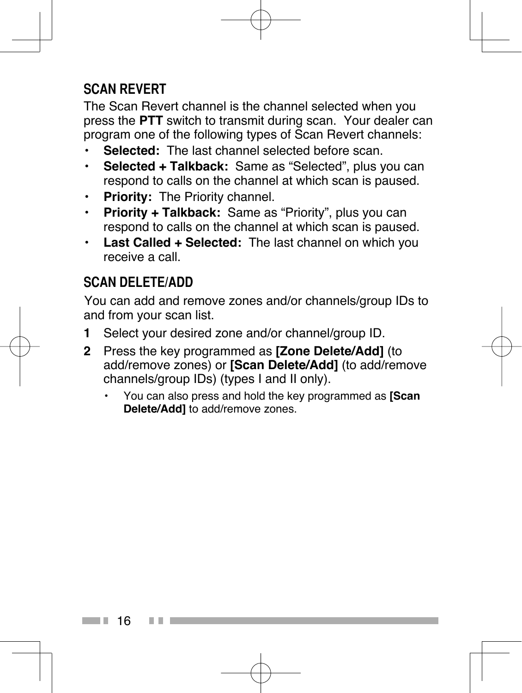#### **SCAN REVERT**

The Scan Revert channel is the channel selected when you press the **PTT** switch to transmit during scan. Your dealer can program one of the following types of Scan Revert channels:

- **Selected:** The last channel selected before scan.
- **Selected + Talkback:** Same as "Selected", plus you can respond to calls on the channel at which scan is paused.
- **Priority:** The Priority channel.
- **Priority + Talkback:** Same as "Priority", plus you can respond to calls on the channel at which scan is paused.
- **Last Called + Selected:** The last channel on which you receive a call.

#### **SCAN DELETE/ADD**

 You can add and remove zones and/or channels/group IDs to and from your scan list.

- **1** Select your desired zone and/or channel/group ID.
- **2** Press the key programmed as **[Zone Delete/Add]** (to add/remove zones) or **[Scan Delete/Add]** (to add/remove channels/group IDs) (types I and II only).
	- You can also press and hold the key programmed as **[Scan Delete/Add]** to add/remove zones.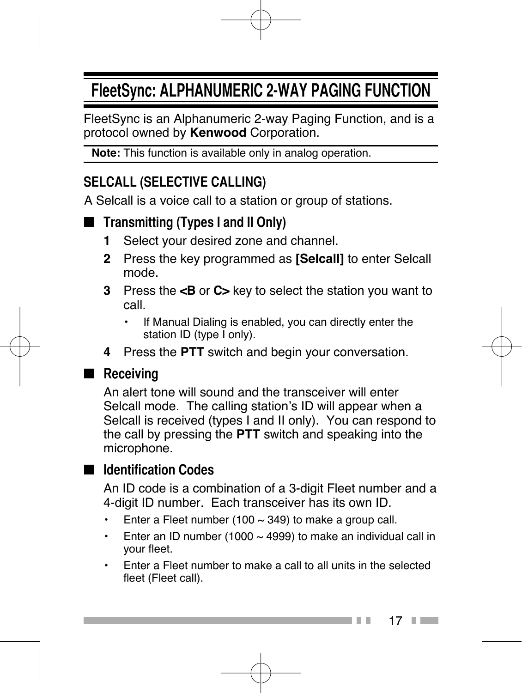### **FleetSync: ALPHANUMERIC 2-WAY PAGING FUNCTION**

FleetSync is an Alphanumeric 2-way Paging Function, and is a protocol owned by **Kenwood** Corporation.

**Note:** This function is available only in analog operation.

#### **SELCALL (SELECTIVE CALLING)**

A Selcall is a voice call to a station or group of stations.

#### ■ **Transmitting (Types I and II Only)**

- **1** Select your desired zone and channel.
- **2** Press the key programmed as **[Selcall]** to enter Selcall mode.
- **3** Press the **<B** or **C>** key to select the station you want to call.
	- If Manual Dialing is enabled, you can directly enter the station ID (type I only).
- **4** Press the **PTT** switch and begin your conversation.

#### ■ **Receiving**

 An alert tone will sound and the transceiver will enter Selcall mode. The calling station's ID will appear when a Selcall is received (types I and II only). You can respond to the call by pressing the **PTT** switch and speaking into the microphone.

#### ■ **Identification Codes**

 An ID code is a combination of a 3-digit Fleet number and a 4-digit ID number. Each transceiver has its own ID.

- Enter a Fleet number (100  $\sim$  349) to make a group call.
- Enter an ID number (1000  $\sim$  4999) to make an individual call in your fleet.
- Enter a Fleet number to make a call to all units in the selected fleet (Fleet call).

17 **Contract Contract**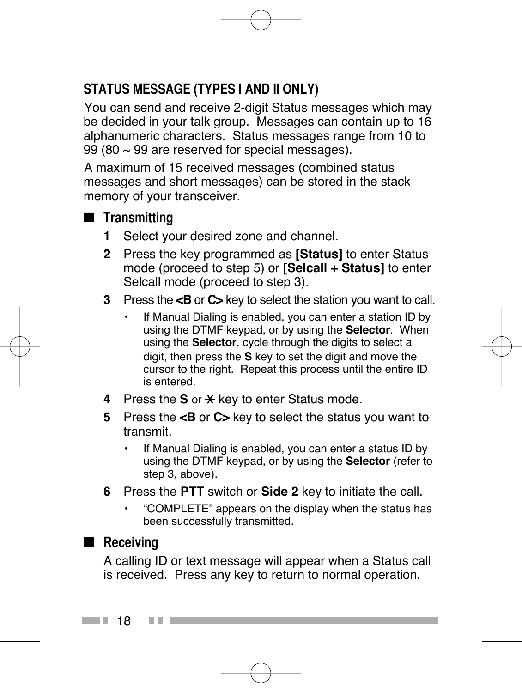### **STATUS MESSAGE (TYPES I AND II ONLY)**

 You can send and receive 2-digit Status messages which may be decided in your talk group. Messages can contain up to 16 alphanumeric characters. Status messages range from 10 to 99 (80  $\sim$  99 are reserved for special messages).

 A maximum of 15 received messages (combined status messages and short messages) can be stored in the stack memory of your transceiver.

- ■ **Transmitting**
	- **1** Select your desired zone and channel.
	- **2** Press the key programmed as **[Status]** to enter Status mode (proceed to step 5) or **[Selcall + Status]** to enter Selcall mode (proceed to step 3).
	- **3** Press the **<B** or **C>** key to select the station you want to call.
		- If Manual Dialing is enabled, you can enter a station ID by using the DTMF keypad, or by using the **Selector**. When using the **Selector**, cycle through the digits to select a digit, then press the **S** key to set the digit and move the cursor to the right. Repeat this process until the entire ID is entered.
	- **4** Press the **S** or  $\star$  key to enter Status mode.
	- **5** Press the **<B** or **C>** key to select the status you want to transmit.
		- If Manual Dialing is enabled, you can enter a status ID by using the DTMF keypad, or by using the **Selector** (refer to step 3, above).
	- **6** Press the **PTT** switch or **Side 2** key to initiate the call.
		- "COMPLETE" appears on the display when the status has been successfully transmitted.

#### ■ Receiving

 A calling ID or text message will appear when a Status call is received. Press any key to return to normal operation.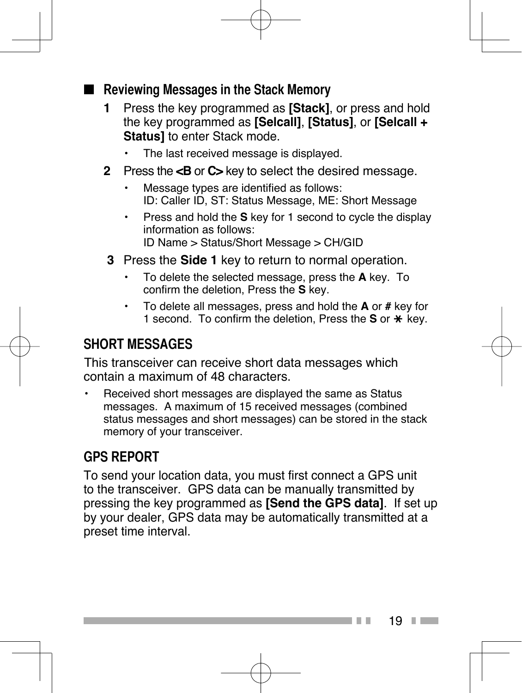#### ■ **Reviewing Messages in the Stack Memory**

- **1** Press the key programmed as **[Stack]**, or press and hold the key programmed as **[Selcall]**, **[Status]**, or **[Selcall + Status]** to enter Stack mode.
	- The last received message is displayed.
- **2** Press the **<B** or **C>** key to select the desired message.
	- Message types are identified as follows: ID: Caller ID, ST: Status Message, ME: Short Message
	- Press and hold the **S** key for 1 second to cycle the display information as follows: ID Name > Status/Short Message > CH/GID
- **3** Press the **Side 1** key to return to normal operation.
	- To delete the selected message, press the **A** key. To confirm the deletion, Press the **S** key.
	- To delete all messages, press and hold the **A** or **#** key for 1 second. To confirm the deletion. Press the **S** or  $\star$  key.

#### **SHORT MESSAGES**

This transceiver can receive short data messages which contain a maximum of 48 characters.

• Received short messages are displayed the same as Status messages. A maximum of 15 received messages (combined status messages and short messages) can be stored in the stack memory of your transceiver.

#### **GPS REPORT**

To send your location data, you must first connect a GPS unit to the transceiver. GPS data can be manually transmitted by pressing the key programmed as **[Send the GPS data]**. If set up by your dealer, GPS data may be automatically transmitted at a preset time interval.

 $19$   $\Box$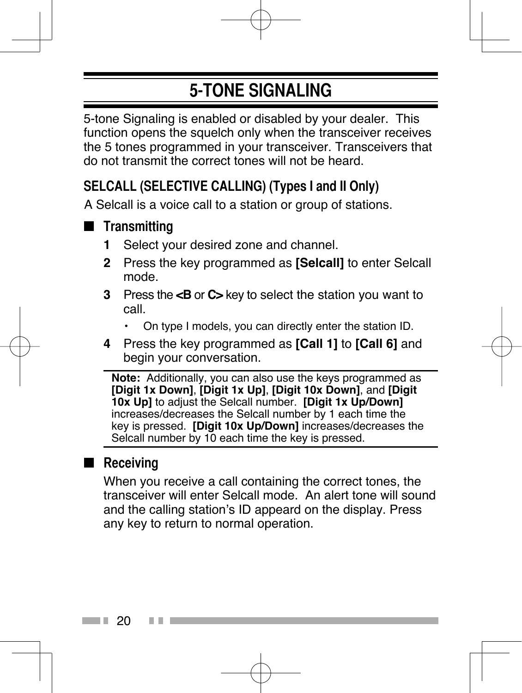### **5-TONE SIGNALING**

5-tone Signaling is enabled or disabled by your dealer. This function opens the squelch only when the transceiver receives the 5 tones programmed in your transceiver. Transceivers that do not transmit the correct tones will not be heard.

#### **SELCALL (SELECTIVE CALLING) (Types I and II Only)**

A Selcall is a voice call to a station or group of stations.

#### ■ **Transmitting**

- **1** Select your desired zone and channel.
- **2** Press the key programmed as **[Selcall]** to enter Selcall mode.
- **3** Press the **<B** or **C>** key to select the station you want to call.
	- On type I models, you can directly enter the station ID.
- **4** Press the key programmed as **[Call 1]** to **[Call 6]** and begin your conversation.

**Note:** Additionally, you can also use the keys programmed as **[Digit 1x Down]**, **[Digit 1x Up]**, **[Digit 10x Down]**, and **[Digit 10x Up]** to adjust the Selcall number. **[Digit 1x Up/Down]** increases/decreases the Selcall number by 1 each time the key is pressed. **[Digit 10x Up/Down]** increases/decreases the Selcall number by 10 each time the key is pressed.

#### ■ **Receiving**

 When you receive a call containing the correct tones, the transceiver will enter Selcall mode. An alert tone will sound and the calling station's ID appeard on the display. Press any key to return to normal operation.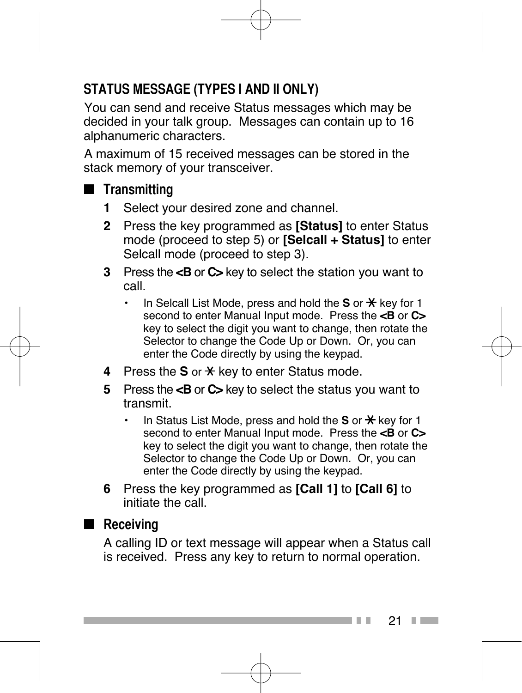### **STATUS MESSAGE (TYPES I AND II ONLY)**

 You can send and receive Status messages which may be decided in your talk group. Messages can contain up to 16 alphanumeric characters.

 A maximum of 15 received messages can be stored in the stack memory of your transceiver.

#### ■ **Transmitting**

- **1** Select your desired zone and channel.
- **2** Press the key programmed as **[Status]** to enter Status mode (proceed to step 5) or **[Selcall + Status]** to enter Selcall mode (proceed to step 3).
- **3** Press the **<B** or **C>** key to select the station you want to call.
	- $\cdot$  In Selcall List Mode, press and hold the **S** or  $\star$  key for 1 second to enter Manual Input mode. Press the **<B** or **C>** key to select the digit you want to change, then rotate the Selector to change the Code Up or Down. Or, you can enter the Code directly by using the keypad.
- **4** Press the **S** or  $\div$  key to enter Status mode.
- **5** Press the **<B** or **C>** key to select the status you want to transmit.
	- In Status List Mode, press and hold the **S** or  $\frac{1}{2}$  key for 1 second to enter Manual Input mode. Press the **<B** or **C>** key to select the digit you want to change, then rotate the Selector to change the Code Up or Down. Or, you can enter the Code directly by using the keypad.
- **6** Press the key programmed as **[Call 1]** to **[Call 6]** to initiate the call.

#### ■ **Receiving**

 A calling ID or text message will appear when a Status call is received. Press any key to return to normal operation.

> 21 **Contract Contract**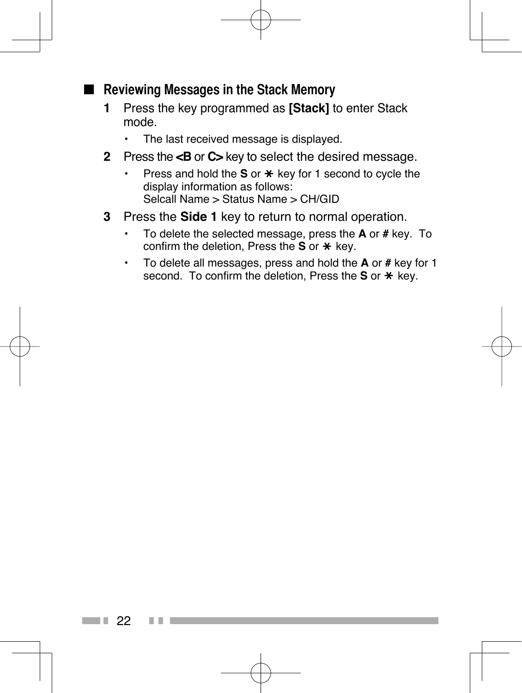#### ■ **Reviewing Messages in the Stack Memory**

- **1** Press the key programmed as **[Stack]** to enter Stack mode.
	- The last received message is displayed.
- **2** Press the **<B** or **C>** key to select the desired message.
	- Press and hold the **S** or \* key for 1 second to cycle the display information as follows: Selcall Name > Status Name > CH/GID
- **3** Press the **Side 1** key to return to normal operation.
	- To delete the selected message, press the **A** or **#** key. To confirm the deletion. Press the **S** or \* key.
	- To delete all messages, press and hold the **A** or **#** key for 1 second. To confirm the deletion, Press the S or \* key.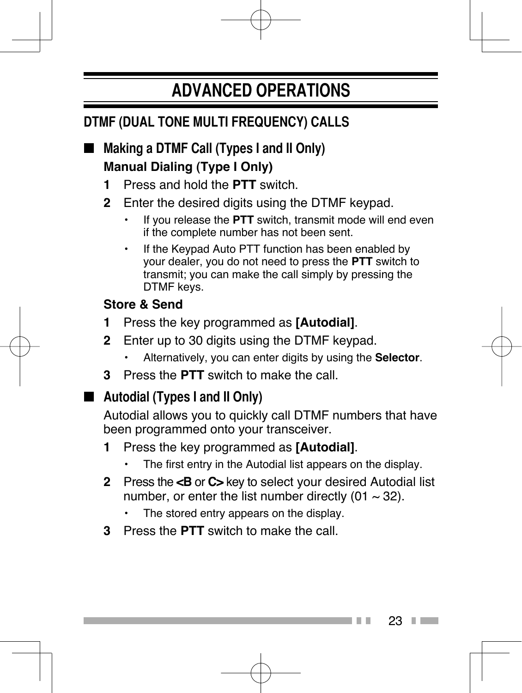### **ADVANCED OPERATIONS**

### **DTMF (DUAL TONE MULTI FREQUENCY) CALLS**

- **Making a DTMF Call (Types I and II Only) Manual Dialing (Type I Only)**
	- **1** Press and hold the **PTT** switch.
	- **2** Enter the desired digits using the DTMF keypad.
		- If you release the **PTT** switch, transmit mode will end even if the complete number has not been sent.
		- If the Keypad Auto PTT function has been enabled by your dealer, you do not need to press the **PTT** switch to transmit; you can make the call simply by pressing the DTMF keys.

#### **Store & Send**

- **1** Press the key programmed as **[Autodial]**.
- **2** Enter up to 30 digits using the DTMF keypad.
	- Alternatively, you can enter digits by using the **Selector**.
- **3** Press the **PTT** switch to make the call.

#### ■ **Autodial (Types I and II Only)**

 Autodial allows you to quickly call DTMF numbers that have been programmed onto your transceiver.

- **1** Press the key programmed as **[Autodial]**.
	- The first entry in the Autodial list appears on the display.
- **2** Press the **<B** or **C>** key to select your desired Autodial list number, or enter the list number directly (01  $\sim$  32).
	- The stored entry appears on the display.
- **3** Press the **PTT** switch to make the call.

23 **Contract Contract**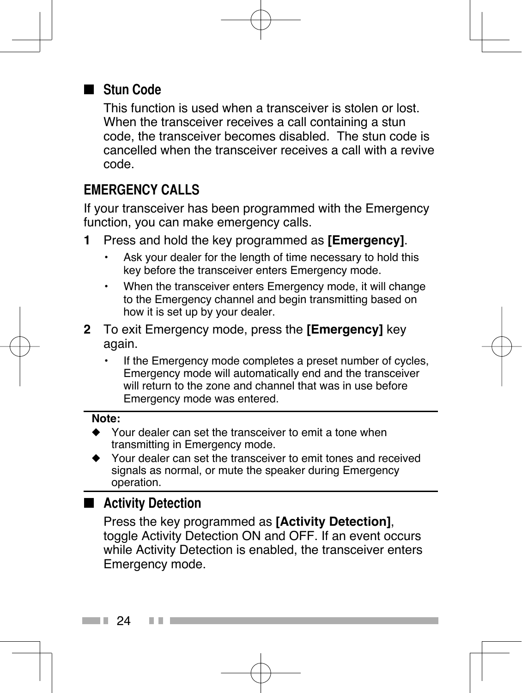#### ■ **Stun Code**

 This function is used when a transceiver is stolen or lost. When the transceiver receives a call containing a stun code, the transceiver becomes disabled. The stun code is cancelled when the transceiver receives a call with a revive code.

#### **EMERGENCY CALLS**

If your transceiver has been programmed with the Emergency function, you can make emergency calls.

- **1** Press and hold the key programmed as **[Emergency]**.
	- Ask your dealer for the length of time necessary to hold this key before the transceiver enters Emergency mode.
	- When the transceiver enters Emergency mode, it will change to the Emergency channel and begin transmitting based on how it is set up by your dealer.
- **2** To exit Emergency mode, press the **[Emergency]** key again.
	- If the Emergency mode completes a preset number of cycles, Emergency mode will automatically end and the transceiver will return to the zone and channel that was in use before Emergency mode was entered.

#### **Note:**

- Your dealer can set the transceiver to emit a tone when transmitting in Emergency mode.
- ◆ Your dealer can set the transceiver to emit tones and received signals as normal, or mute the speaker during Emergency operation.

#### ■ **Activity Detection**

 Press the key programmed as **[Activity Detection]**, toggle Activity Detection ON and OFF. If an event occurs while Activity Detection is enabled, the transceiver enters Emergency mode.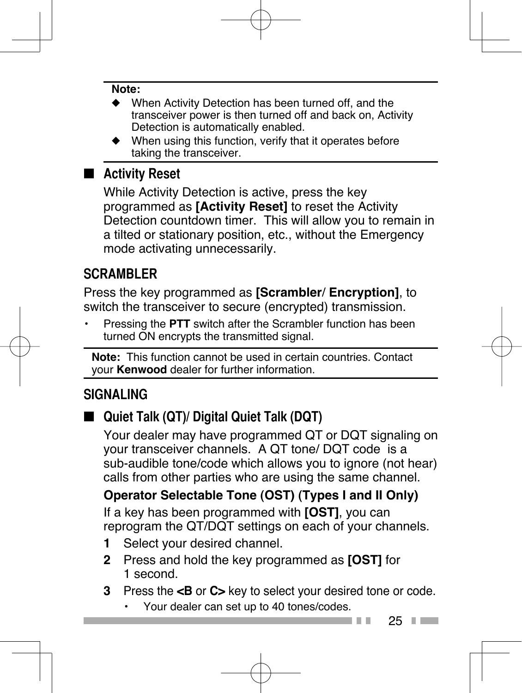#### **Note:**

- When Activity Detection has been turned off, and the transceiver power is then turned off and back on, Activity Detection is automatically enabled.
- ◆ When using this function, verify that it operates before taking the transceiver.

#### ■ **Activity Reset**

 While Activity Detection is active, press the key programmed as **[Activity Reset]** to reset the Activity Detection countdown timer. This will allow you to remain in a tilted or stationary position, etc., without the Emergency mode activating unnecessarily.

#### **SCRAMBLER**

Press the key programmed as **[Scrambler**/ **Encryption]**, to switch the transceiver to secure (encrypted) transmission.

• Pressing the **PTT** switch after the Scrambler function has been turned ON encrypts the transmitted signal.

**Note:** This function cannot be used in certain countries. Contact your **Kenwood** dealer for further information.

#### **SIGNALING**

#### ■ **Quiet Talk (QT)/ Digital Quiet Talk (DQT)**

 Your dealer may have programmed QT or DQT signaling on your transceiver channels. A QT tone/ DQT code is a sub-audible tone/code which allows you to ignore (not hear) calls from other parties who are using the same channel.

#### **Operator Selectable Tone (OST) (Types I and II Only)**

 If a key has been programmed with **[OST]**, you can reprogram the QT/DQT settings on each of your channels.

- **1** Select your desired channel.
- **2** Press and hold the key programmed as **[OST]** for 1 second.
- **3** Press the **<B** or **C>** key to select your desired tone or code.
	- Your dealer can set up to 40 tones/codes.

25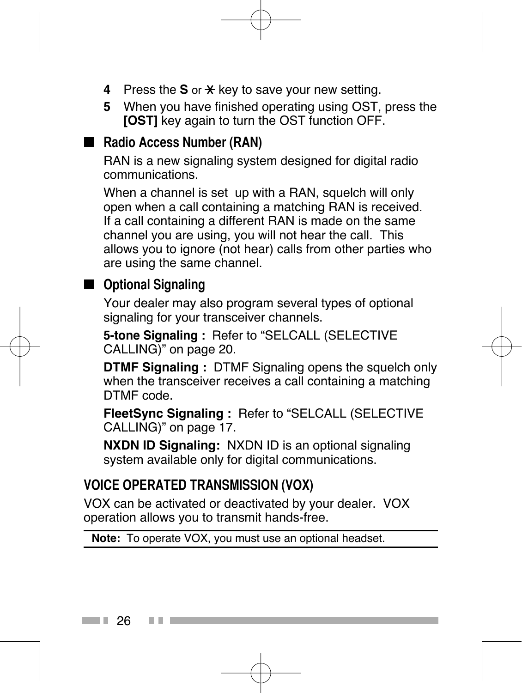- **4** Press the **S** or  $\star$  key to save your new setting.
- **5** When you have finished operating using OST, press the **[OST]** key again to turn the OST function OFF.

#### ■ **Radio Access Number (RAN)**

 RAN is a new signaling system designed for digital radio communications.

 When a channel is set up with a RAN, squelch will only open when a call containing a matching RAN is received. If a call containing a different RAN is made on the same channel you are using, you will not hear the call. This allows you to ignore (not hear) calls from other parties who are using the same channel.

#### ■ Optional Signaling

 Your dealer may also program several types of optional signaling for your transceiver channels.

**5-tone Signaling :** Refer to "SELCALL (SELECTIVE CALLING)" on page 20.

 **DTMF Signaling :** DTMF Signaling opens the squelch only when the transceiver receives a call containing a matching DTMF code.

 **FleetSync Signaling :** Refer to "SELCALL (SELECTIVE CALLING)" on page 17.

 **NXDN ID Signaling:** NXDN ID is an optional signaling system available only for digital communications.

#### **VOICE OPERATED TRANSMISSION (VOX)**

VOX can be activated or deactivated by your dealer. VOX operation allows you to transmit hands-free.

**Note:** To operate VOX, you must use an optional headset.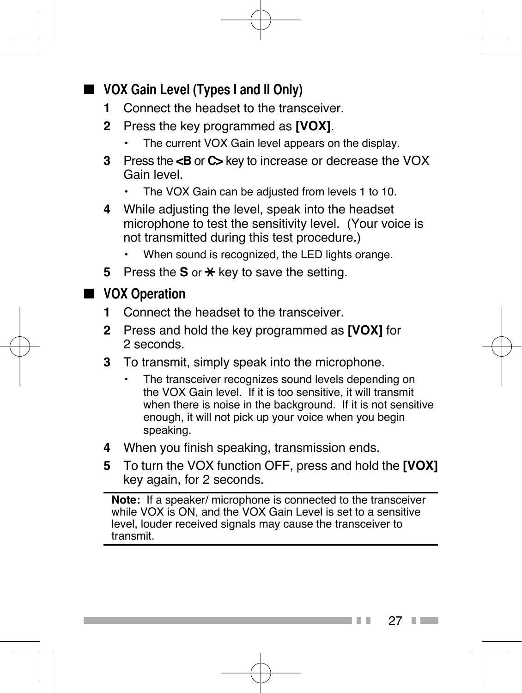#### ■ **VOX Gain Level (Types I and II Only)**

- **1** Connect the headset to the transceiver.
- **2** Press the key programmed as **[VOX]**.
	- The current VOX Gain level appears on the display.
- **3** Press the **<B** or **C>** key to increase or decrease the VOX Gain level.
	- The VOX Gain can be adjusted from levels 1 to 10.
- **4** While adjusting the level, speak into the headset microphone to test the sensitivity level. (Your voice is not transmitted during this test procedure.)
	- When sound is recognized, the LED lights orange.
- **5** Press the **S** or  $\star$  key to save the setting.

#### ■ **VOX Operation**

- **1** Connect the headset to the transceiver.
- **2** Press and hold the key programmed as **[VOX]** for 2 seconds.
- **3** To transmit, simply speak into the microphone.
	- The transceiver recognizes sound levels depending on the VOX Gain level. If it is too sensitive, it will transmit when there is noise in the background. If it is not sensitive enough, it will not pick up your voice when you begin speaking.
- **4** When you finish speaking, transmission ends.
- **5** To turn the VOX function OFF, press and hold the **[VOX]**  key again, for 2 seconds.

**Note:** If a speaker/ microphone is connected to the transceiver while VOX is ON, and the VOX Gain Level is set to a sensitive level, louder received signals may cause the transceiver to transmit.

> 27 **Contract Contract**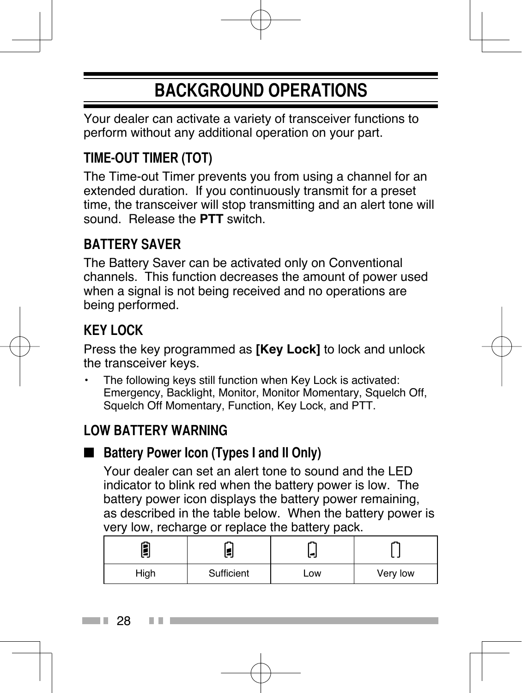### **BACKGROUND OPERATIONS**

Your dealer can activate a variety of transceiver functions to perform without any additional operation on your part.

#### **TIME-OUT TIMER (TOT)**

The Time-out Timer prevents you from using a channel for an extended duration. If you continuously transmit for a preset time, the transceiver will stop transmitting and an alert tone will sound. Release the **PTT** switch.

#### **BATTERY SAVER**

The Battery Saver can be activated only on Conventional channels. This function decreases the amount of power used when a signal is not being received and no operations are being performed.

#### **KEY LOCK**

Press the key programmed as **[Key Lock]** to lock and unlock the transceiver keys.

The following keys still function when Key Lock is activated: Emergency, Backlight, Monitor, Monitor Momentary, Squelch Off, Squelch Off Momentary, Function, Key Lock, and PTT.

#### **LOW BATTERY WARNING**

#### ■ Battery Power Icon (Types I and II Only)

 Your dealer can set an alert tone to sound and the LED indicator to blink red when the battery power is low. The battery power icon displays the battery power remaining, as described in the table below. When the battery power is very low, recharge or replace the battery pack.

| Sufficient<br>High |  | Low | Very low |
|--------------------|--|-----|----------|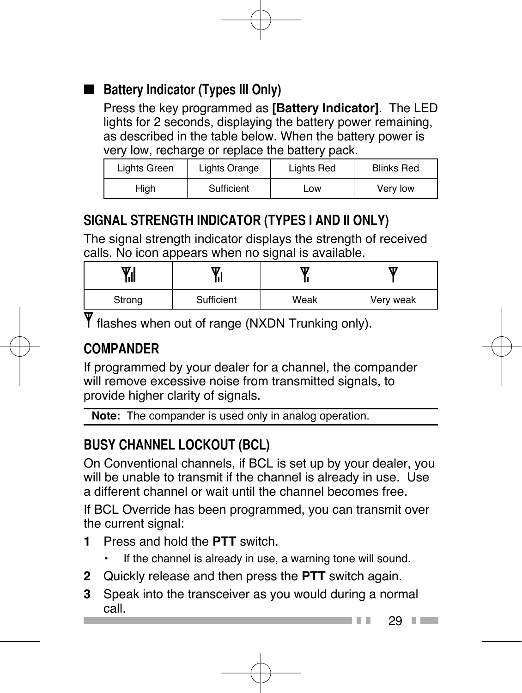### ■ **Battery Indicator (Types III Only)**

 Press the key programmed as **[Battery Indicator]**. The LED lights for 2 seconds, displaying the battery power remaining, as described in the table below. When the battery power is very low, recharge or replace the battery pack.

| Lights Green | Lights Orange | Lights Red | <b>Blinks Red</b> |  |
|--------------|---------------|------------|-------------------|--|
| High         | Sufficient    | LOW        | Very low          |  |

#### **SIGNAL STRENGTH INDICATOR (TYPES I AND II ONLY)**

The signal strength indicator displays the strength of received calls. No icon appears when no signal is available.

| w<br>Ш<br> |            | π    | w         |  |
|------------|------------|------|-----------|--|
| Strong     | Sufficient | Weak | Very weak |  |

Y flashes when out of range (NXDN Trunking only).

#### **COMPANDER**

If programmed by your dealer for a channel, the compander will remove excessive noise from transmitted signals, to provide higher clarity of signals.

**Note:** The compander is used only in analog operation.

### **BUSY CHANNEL LOCKOUT (BCL)**

On Conventional channels, if BCL is set up by your dealer, you will be unable to transmit if the channel is already in use. Use a different channel or wait until the channel becomes free.

If BCL Override has been programmed, you can transmit over the current signal:

- **1** Press and hold the **PTT** switch.
	- If the channel is already in use, a warning tone will sound.
- **2** Quickly release and then press the **PTT** switch again.
- **3** Speak into the transceiver as you would during a normal call.

 $29 \square$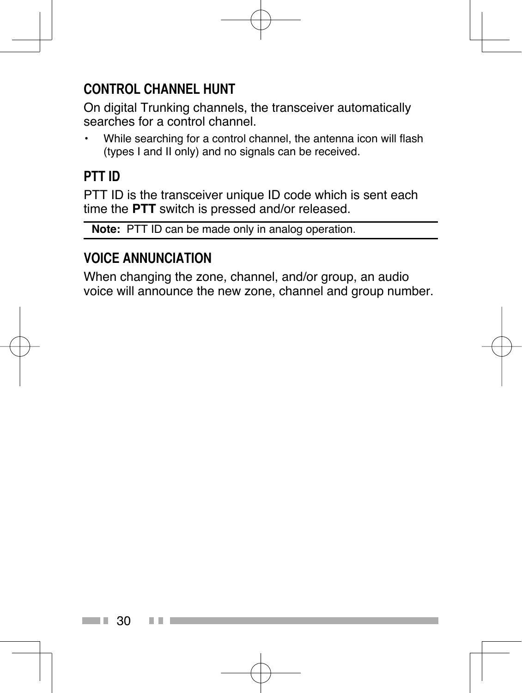#### **CONTROL CHANNEL HUNT**

On digital Trunking channels, the transceiver automatically searches for a control channel.

• While searching for a control channel, the antenna icon will flash (types I and II only) and no signals can be received.

#### **PTT ID**

PTT ID is the transceiver unique ID code which is sent each time the **PTT** switch is pressed and/or released.

**Note:** PTT ID can be made only in analog operation.

#### **VOICE ANNUNCIATION**

When changing the zone, channel, and/or group, an audio voice will announce the new zone, channel and group number.